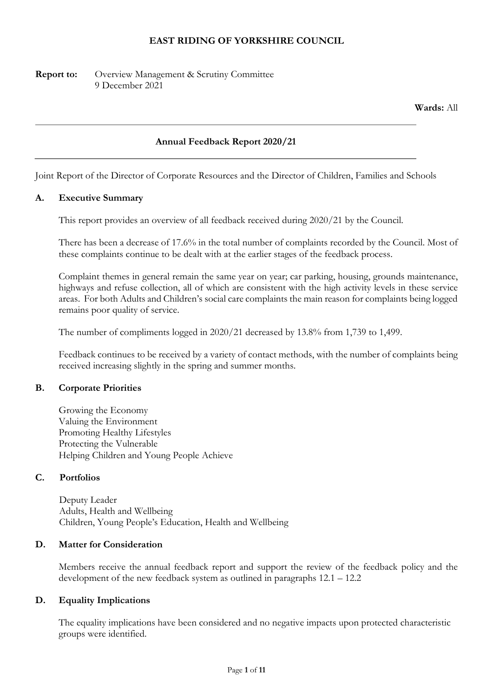## EAST RIDING OF YORKSHIRE COUNCIL

Report to: Overview Management & Scrutiny Committee 9 December 2021

Wards: All

#### Annual Feedback Report 2020/21

Joint Report of the Director of Corporate Resources and the Director of Children, Families and Schools

#### A. Executive Summary

This report provides an overview of all feedback received during 2020/21 by the Council.

There has been a decrease of 17.6% in the total number of complaints recorded by the Council. Most of these complaints continue to be dealt with at the earlier stages of the feedback process.

Complaint themes in general remain the same year on year; car parking, housing, grounds maintenance, highways and refuse collection, all of which are consistent with the high activity levels in these service areas. For both Adults and Children's social care complaints the main reason for complaints being logged remains poor quality of service.

The number of compliments logged in 2020/21 decreased by 13.8% from 1,739 to 1,499.

Feedback continues to be received by a variety of contact methods, with the number of complaints being received increasing slightly in the spring and summer months.

#### B. Corporate Priorities

Growing the Economy Valuing the Environment Promoting Healthy Lifestyles Protecting the Vulnerable Helping Children and Young People Achieve

#### C. Portfolios

Deputy Leader Adults, Health and Wellbeing Children, Young People's Education, Health and Wellbeing

#### D. Matter for Consideration

Members receive the annual feedback report and support the review of the feedback policy and the development of the new feedback system as outlined in paragraphs 12.1 – 12.2

#### D. Equality Implications

The equality implications have been considered and no negative impacts upon protected characteristic groups were identified.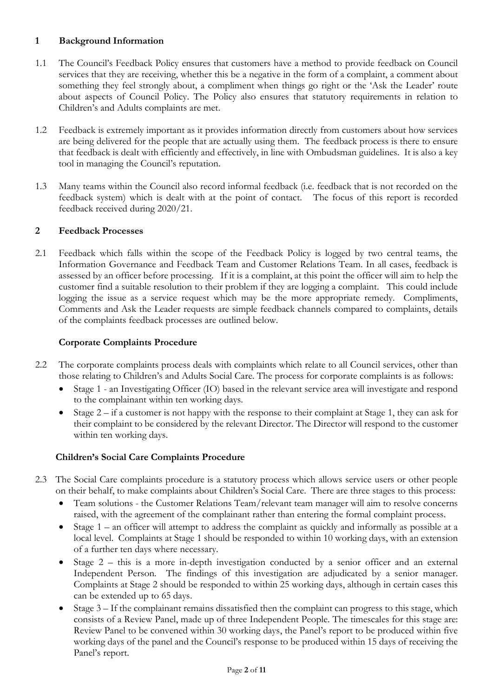# 1 Background Information

- 1.1 The Council's Feedback Policy ensures that customers have a method to provide feedback on Council services that they are receiving, whether this be a negative in the form of a complaint, a comment about something they feel strongly about, a compliment when things go right or the 'Ask the Leader' route about aspects of Council Policy. The Policy also ensures that statutory requirements in relation to Children's and Adults complaints are met.
- 1.2 Feedback is extremely important as it provides information directly from customers about how services are being delivered for the people that are actually using them. The feedback process is there to ensure that feedback is dealt with efficiently and effectively, in line with Ombudsman guidelines. It is also a key tool in managing the Council's reputation.
- 1.3 Many teams within the Council also record informal feedback (i.e. feedback that is not recorded on the feedback system) which is dealt with at the point of contact. The focus of this report is recorded feedback received during 2020/21.

# 2 Feedback Processes

2.1 Feedback which falls within the scope of the Feedback Policy is logged by two central teams, the Information Governance and Feedback Team and Customer Relations Team. In all cases, feedback is assessed by an officer before processing. If it is a complaint, at this point the officer will aim to help the customer find a suitable resolution to their problem if they are logging a complaint. This could include logging the issue as a service request which may be the more appropriate remedy. Compliments, Comments and Ask the Leader requests are simple feedback channels compared to complaints, details of the complaints feedback processes are outlined below.

# Corporate Complaints Procedure

- 2.2 The corporate complaints process deals with complaints which relate to all Council services, other than those relating to Children's and Adults Social Care. The process for corporate complaints is as follows:
	- Stage 1 an Investigating Officer (IO) based in the relevant service area will investigate and respond to the complainant within ten working days.
	- Stage  $2 if a customer is not happy with the response to their complaint at Stage 1, they can ask for$ their complaint to be considered by the relevant Director. The Director will respond to the customer within ten working days.

# Children's Social Care Complaints Procedure

- 2.3 The Social Care complaints procedure is a statutory process which allows service users or other people on their behalf, to make complaints about Children's Social Care. There are three stages to this process:
	- Team solutions the Customer Relations Team/relevant team manager will aim to resolve concerns raised, with the agreement of the complainant rather than entering the formal complaint process.
	- Stage 1 an officer will attempt to address the complaint as quickly and informally as possible at a local level. Complaints at Stage 1 should be responded to within 10 working days, with an extension of a further ten days where necessary.
	- Stage  $2$  this is a more in-depth investigation conducted by a senior officer and an external Independent Person. The findings of this investigation are adjudicated by a senior manager. Complaints at Stage 2 should be responded to within 25 working days, although in certain cases this can be extended up to 65 days.
	- $\bullet$  Stage 3 If the complainant remains dissatisfied then the complaint can progress to this stage, which consists of a Review Panel, made up of three Independent People. The timescales for this stage are: Review Panel to be convened within 30 working days, the Panel's report to be produced within five working days of the panel and the Council's response to be produced within 15 days of receiving the Panel's report.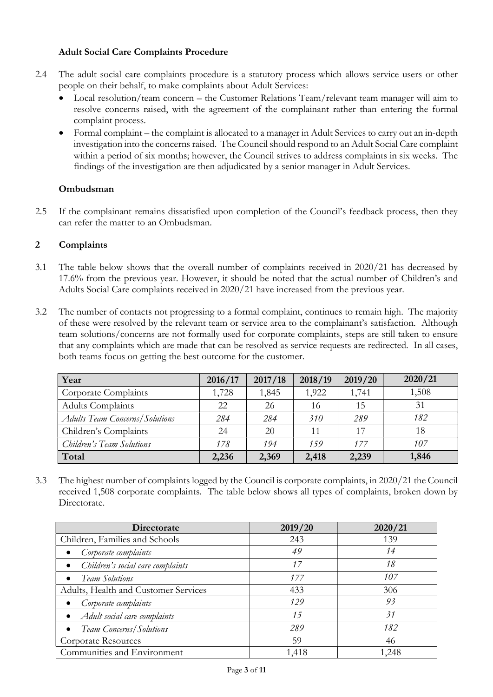# Adult Social Care Complaints Procedure

- 2.4 The adult social care complaints procedure is a statutory process which allows service users or other people on their behalf, to make complaints about Adult Services:
	- Local resolution/team concern the Customer Relations Team/relevant team manager will aim to resolve concerns raised, with the agreement of the complainant rather than entering the formal complaint process.
	- Formal complaint the complaint is allocated to a manager in Adult Services to carry out an in-depth investigation into the concerns raised. The Council should respond to an Adult Social Care complaint within a period of six months; however, the Council strives to address complaints in six weeks. The findings of the investigation are then adjudicated by a senior manager in Adult Services.

## Ombudsman

2.5 If the complainant remains dissatisfied upon completion of the Council's feedback process, then they can refer the matter to an Ombudsman.

## 2 Complaints

- 3.1 The table below shows that the overall number of complaints received in 2020/21 has decreased by 17.6% from the previous year. However, it should be noted that the actual number of Children's and Adults Social Care complaints received in 2020/21 have increased from the previous year.
- 3.2 The number of contacts not progressing to a formal complaint, continues to remain high. The majority of these were resolved by the relevant team or service area to the complainant's satisfaction. Although team solutions/concerns are not formally used for corporate complaints, steps are still taken to ensure that any complaints which are made that can be resolved as service requests are redirected. In all cases, both teams focus on getting the best outcome for the customer.

| Year                                  | 2016/17 | 2017/18 | 2018/19         | 2019/20 | 2020/21 |
|---------------------------------------|---------|---------|-----------------|---------|---------|
| Corporate Complaints                  | 1,728   | 1,845   | 1,922           | 1,741   | 1,508   |
| Adults Complaints                     | 22      | 26      | 16              | 15      | 31      |
| <b>Adults Team Concerns/Solutions</b> | 284     | 284     | 31 <sub>0</sub> | 289     | 182     |
| Children's Complaints                 | 24      | 20      | 11              | 17      | 18      |
| Children's Team Solutions             | 178     | 194     | 159             | 177     | 107     |
| Total                                 | 2,236   | 2,369   | 2,418           | 2,239   | 1,846   |

3.3 The highest number of complaints logged by the Council is corporate complaints, in 2020/21 the Council received 1,508 corporate complaints. The table below shows all types of complaints, broken down by Directorate.

| Directorate                          | 2019/20 | 2020/21 |
|--------------------------------------|---------|---------|
| Children, Families and Schools       | 243     | 139     |
| Corporate complaints                 | 49      | 14      |
| Children's social care complaints    | 17      | 18      |
| <b>Team Solutions</b>                | 177     | 107     |
| Adults, Health and Customer Services | 433     | 306     |
| Corporate complaints                 | 129     | 93      |
| Adult social care complaints         | 15      | 31      |
| <b>Team Concerns/Solutions</b>       | 289     | 182     |
| Corporate Resources                  | 59      | 46      |
| Communities and Environment          | 1,418   | 1,248   |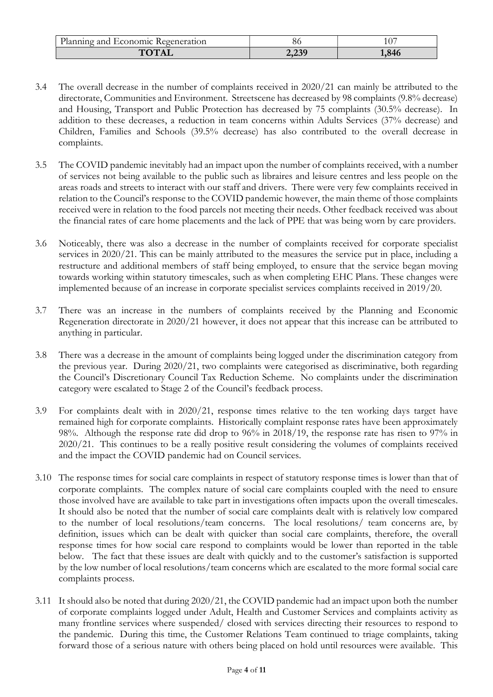| Planning and<br>Economic Regeneration | ου          | $\sim$<br>1 V. |
|---------------------------------------|-------------|----------------|
| $T\Omega T\Delta I$                   | 20<br>تركوك | 1,846          |

- 3.4 The overall decrease in the number of complaints received in 2020/21 can mainly be attributed to the directorate, Communities and Environment. Streetscene has decreased by 98 complaints (9.8% decrease) and Housing, Transport and Public Protection has decreased by 75 complaints (30.5% decrease). In addition to these decreases, a reduction in team concerns within Adults Services (37% decrease) and Children, Families and Schools (39.5% decrease) has also contributed to the overall decrease in complaints.
- 3.5 The COVID pandemic inevitably had an impact upon the number of complaints received, with a number of services not being available to the public such as libraires and leisure centres and less people on the areas roads and streets to interact with our staff and drivers. There were very few complaints received in relation to the Council's response to the COVID pandemic however, the main theme of those complaints received were in relation to the food parcels not meeting their needs. Other feedback received was about the financial rates of care home placements and the lack of PPE that was being worn by care providers.
- 3.6 Noticeably, there was also a decrease in the number of complaints received for corporate specialist services in 2020/21. This can be mainly attributed to the measures the service put in place, including a restructure and additional members of staff being employed, to ensure that the service began moving towards working within statutory timescales, such as when completing EHC Plans. These changes were implemented because of an increase in corporate specialist services complaints received in 2019/20.
- 3.7 There was an increase in the numbers of complaints received by the Planning and Economic Regeneration directorate in 2020/21 however, it does not appear that this increase can be attributed to anything in particular.
- 3.8 There was a decrease in the amount of complaints being logged under the discrimination category from the previous year. During 2020/21, two complaints were categorised as discriminative, both regarding the Council's Discretionary Council Tax Reduction Scheme. No complaints under the discrimination category were escalated to Stage 2 of the Council's feedback process.
- 3.9 For complaints dealt with in 2020/21, response times relative to the ten working days target have remained high for corporate complaints. Historically complaint response rates have been approximately 98%. Although the response rate did drop to 96% in 2018/19, the response rate has risen to 97% in 2020/21. This continues to be a really positive result considering the volumes of complaints received and the impact the COVID pandemic had on Council services.
- 3.10 The response times for social care complaints in respect of statutory response times is lower than that of corporate complaints. The complex nature of social care complaints coupled with the need to ensure those involved have are available to take part in investigations often impacts upon the overall timescales. It should also be noted that the number of social care complaints dealt with is relatively low compared to the number of local resolutions/team concerns. The local resolutions/ team concerns are, by definition, issues which can be dealt with quicker than social care complaints, therefore, the overall response times for how social care respond to complaints would be lower than reported in the table below. The fact that these issues are dealt with quickly and to the customer's satisfaction is supported by the low number of local resolutions/team concerns which are escalated to the more formal social care complaints process.
- 3.11 It should also be noted that during 2020/21, the COVID pandemic had an impact upon both the number of corporate complaints logged under Adult, Health and Customer Services and complaints activity as many frontline services where suspended/ closed with services directing their resources to respond to the pandemic. During this time, the Customer Relations Team continued to triage complaints, taking forward those of a serious nature with others being placed on hold until resources were available. This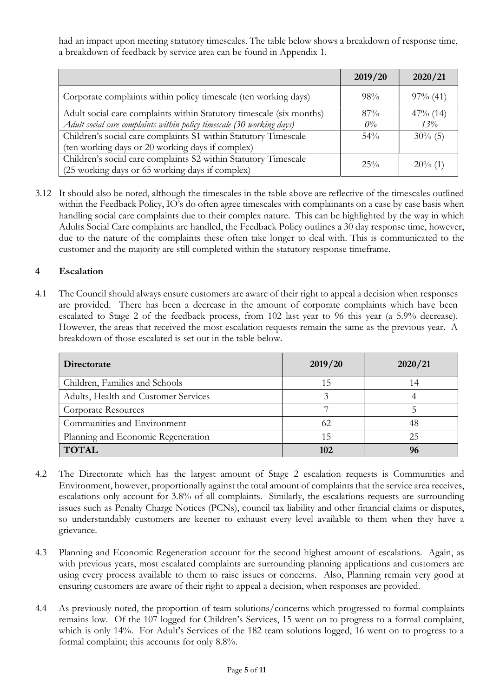had an impact upon meeting statutory timescales. The table below shows a breakdown of response time, a breakdown of feedback by service area can be found in Appendix 1.

|                                                                        | 2019/20 | 2020/21     |
|------------------------------------------------------------------------|---------|-------------|
| Corporate complaints within policy timescale (ten working days)        | 98%     | $97\%$ (41) |
| Adult social care complaints within Statutory timescale (six months)   | 87%     | $47\%$ (14) |
| Adult social care complaints within policy timescale (30 working days) | $O\%$   | 13%         |
| Children's social care complaints S1 within Statutory Timescale        | 54%     | $30\%$ (5)  |
| (ten working days or 20 working days if complex)                       |         |             |
| Children's social care complaints S2 within Statutory Timescale        | $25\%$  |             |
| (25 working days or 65 working days if complex)                        |         | $20\%$ (1)  |

3.12 It should also be noted, although the timescales in the table above are reflective of the timescales outlined within the Feedback Policy, IO's do often agree timescales with complainants on a case by case basis when handling social care complaints due to their complex nature. This can be highlighted by the way in which Adults Social Care complaints are handled, the Feedback Policy outlines a 30 day response time, however, due to the nature of the complaints these often take longer to deal with. This is communicated to the customer and the majority are still completed within the statutory response timeframe.

## 4 Escalation

4.1 The Council should always ensure customers are aware of their right to appeal a decision when responses are provided. There has been a decrease in the amount of corporate complaints which have been escalated to Stage 2 of the feedback process, from 102 last year to 96 this year (a 5.9% decrease). However, the areas that received the most escalation requests remain the same as the previous year. A breakdown of those escalated is set out in the table below.

| Directorate                          | 2019/20 | 2020/21 |
|--------------------------------------|---------|---------|
| Children, Families and Schools       | ל. ו    | 14      |
| Adults, Health and Customer Services |         |         |
| Corporate Resources                  |         |         |
| Communities and Environment          | 62      | 48      |
| Planning and Economic Regeneration   | 15      | 25      |
| <b>TOTAL</b>                         | 102     | 96      |

- 4.2 The Directorate which has the largest amount of Stage 2 escalation requests is Communities and Environment, however, proportionally against the total amount of complaints that the service area receives, escalations only account for 3.8% of all complaints. Similarly, the escalations requests are surrounding issues such as Penalty Charge Notices (PCNs), council tax liability and other financial claims or disputes, so understandably customers are keener to exhaust every level available to them when they have a grievance.
- 4.3 Planning and Economic Regeneration account for the second highest amount of escalations. Again, as with previous years, most escalated complaints are surrounding planning applications and customers are using every process available to them to raise issues or concerns. Also, Planning remain very good at ensuring customers are aware of their right to appeal a decision, when responses are provided.
- 4.4 As previously noted, the proportion of team solutions/concerns which progressed to formal complaints remains low. Of the 107 logged for Children's Services, 15 went on to progress to a formal complaint, which is only 14%. For Adult's Services of the 182 team solutions logged, 16 went on to progress to a formal complaint; this accounts for only 8.8%.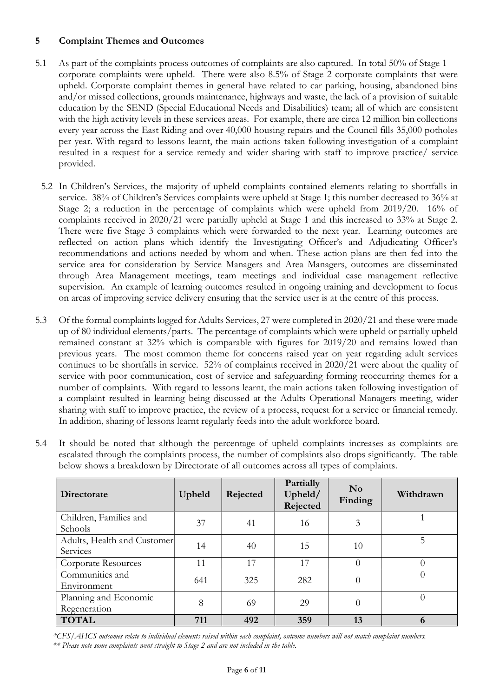# 5 Complaint Themes and Outcomes

- 5.1 As part of the complaints process outcomes of complaints are also captured. In total 50% of Stage 1 corporate complaints were upheld. There were also 8.5% of Stage 2 corporate complaints that were upheld. Corporate complaint themes in general have related to car parking, housing, abandoned bins and/or missed collections, grounds maintenance, highways and waste, the lack of a provision of suitable education by the SEND (Special Educational Needs and Disabilities) team; all of which are consistent with the high activity levels in these services areas. For example, there are circa 12 million bin collections every year across the East Riding and over 40,000 housing repairs and the Council fills 35,000 potholes per year. With regard to lessons learnt, the main actions taken following investigation of a complaint resulted in a request for a service remedy and wider sharing with staff to improve practice/ service provided.
	- 5.2 In Children's Services, the majority of upheld complaints contained elements relating to shortfalls in service. 38% of Children's Services complaints were upheld at Stage 1; this number decreased to 36% at Stage 2; a reduction in the percentage of complaints which were upheld from 2019/20. 16% of complaints received in 2020/21 were partially upheld at Stage 1 and this increased to 33% at Stage 2. There were five Stage 3 complaints which were forwarded to the next year. Learning outcomes are reflected on action plans which identify the Investigating Officer's and Adjudicating Officer's recommendations and actions needed by whom and when. These action plans are then fed into the service area for consideration by Service Managers and Area Managers, outcomes are disseminated through Area Management meetings, team meetings and individual case management reflective supervision. An example of learning outcomes resulted in ongoing training and development to focus on areas of improving service delivery ensuring that the service user is at the centre of this process.
- 5.3 Of the formal complaints logged for Adults Services, 27 were completed in 2020/21 and these were made up of 80 individual elements/parts. The percentage of complaints which were upheld or partially upheld remained constant at 32% which is comparable with figures for 2019/20 and remains lowed than previous years. The most common theme for concerns raised year on year regarding adult services continues to be shortfalls in service. 52% of complaints received in 2020/21 were about the quality of service with poor communication, cost of service and safeguarding forming reoccurring themes for a number of complaints. With regard to lessons learnt, the main actions taken following investigation of a complaint resulted in learning being discussed at the Adults Operational Managers meeting, wider sharing with staff to improve practice, the review of a process, request for a service or financial remedy. In addition, sharing of lessons learnt regularly feeds into the adult workforce board.
- 5.4 It should be noted that although the percentage of upheld complaints increases as complaints are escalated through the complaints process, the number of complaints also drops significantly. The table below shows a breakdown by Directorate of all outcomes across all types of complaints.

| Directorate                             | Upheld | Rejected | Partially<br>Upheld/<br>Rejected | N <sub>o</sub><br>Finding | Withdrawn |
|-----------------------------------------|--------|----------|----------------------------------|---------------------------|-----------|
| Children, Families and<br>Schools       | 37     | 41       | 16                               | 3                         |           |
| Adults, Health and Customer<br>Services | 14     | 40       | 15                               | 10                        | 5         |
| Corporate Resources                     | 11     | 17       | 17                               | $\Omega$                  |           |
| Communities and<br>Environment          | 641    | 325      | 282                              | $\theta$                  | $\Omega$  |
| Planning and Economic<br>Regeneration   | 8      | 69       | 29                               | 0                         | $\Omega$  |
| <b>TOTAL</b>                            | 711    | 492      | 359                              | 13                        | 6         |

\*CFS/AHCS outcomes relate to individual elements raised within each complaint, outcome numbers will not match complaint numbers.

\*\* Please note some complaints went straight to Stage 2 and are not included in the table.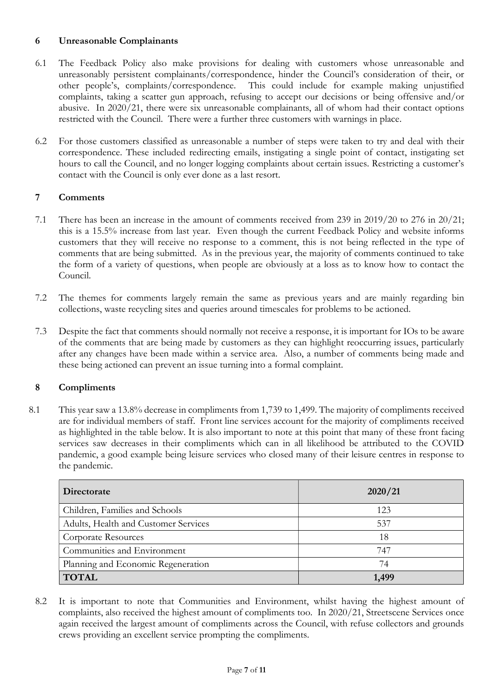# 6 Unreasonable Complainants

- 6.1 The Feedback Policy also make provisions for dealing with customers whose unreasonable and unreasonably persistent complainants/correspondence, hinder the Council's consideration of their, or other people's, complaints/correspondence. This could include for example making unjustified complaints, taking a scatter gun approach, refusing to accept our decisions or being offensive and/or abusive. In 2020/21, there were six unreasonable complainants, all of whom had their contact options restricted with the Council. There were a further three customers with warnings in place.
- 6.2 For those customers classified as unreasonable a number of steps were taken to try and deal with their correspondence. These included redirecting emails, instigating a single point of contact, instigating set hours to call the Council, and no longer logging complaints about certain issues. Restricting a customer's contact with the Council is only ever done as a last resort.

# 7 Comments

- 7.1 There has been an increase in the amount of comments received from 239 in 2019/20 to 276 in 20/21; this is a 15.5% increase from last year. Even though the current Feedback Policy and website informs customers that they will receive no response to a comment, this is not being reflected in the type of comments that are being submitted. As in the previous year, the majority of comments continued to take the form of a variety of questions, when people are obviously at a loss as to know how to contact the Council.
- 7.2 The themes for comments largely remain the same as previous years and are mainly regarding bin collections, waste recycling sites and queries around timescales for problems to be actioned.
- 7.3 Despite the fact that comments should normally not receive a response, it is important for IOs to be aware of the comments that are being made by customers as they can highlight reoccurring issues, particularly after any changes have been made within a service area. Also, a number of comments being made and these being actioned can prevent an issue turning into a formal complaint.

### 8 Compliments

8.1 This year saw a 13.8% decrease in compliments from 1,739 to 1,499. The majority of compliments received are for individual members of staff. Front line services account for the majority of compliments received as highlighted in the table below. It is also important to note at this point that many of these front facing services saw decreases in their compliments which can in all likelihood be attributed to the COVID pandemic, a good example being leisure services who closed many of their leisure centres in response to the pandemic.

| Directorate                          | 2020/21 |
|--------------------------------------|---------|
| Children, Families and Schools       | 123     |
| Adults, Health and Customer Services | 537     |
| Corporate Resources                  | 18      |
| Communities and Environment          | 747     |
| Planning and Economic Regeneration   | 74      |
| <b>TOTAL</b>                         | 1,499   |

8.2 It is important to note that Communities and Environment, whilst having the highest amount of complaints, also received the highest amount of compliments too. In 2020/21, Streetscene Services once again received the largest amount of compliments across the Council, with refuse collectors and grounds crews providing an excellent service prompting the compliments.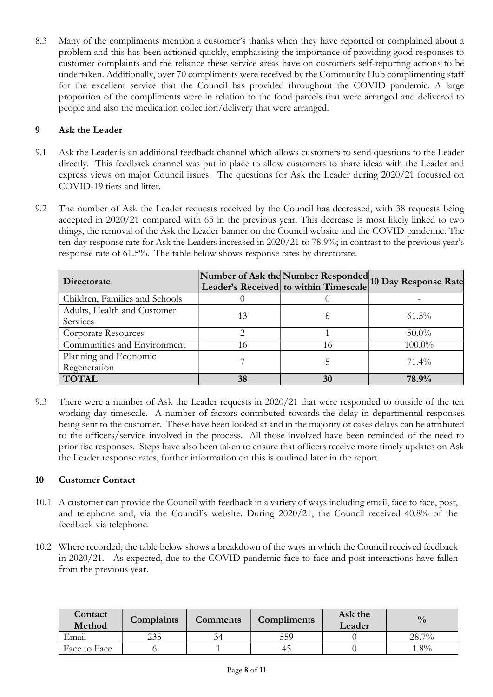8.3 Many of the compliments mention a customer's thanks when they have reported or complained about a problem and this has been actioned quickly, emphasising the importance of providing good responses to customer complaints and the reliance these service areas have on customers self-reporting actions to be undertaken. Additionally, over 70 compliments were received by the Community Hub complimenting staff for the excellent service that the Council has provided throughout the COVID pandemic. A large proportion of the compliments were in relation to the food parcels that were arranged and delivered to people and also the medication collection/delivery that were arranged.

# 9 Ask the Leader

- 9.1 Ask the Leader is an additional feedback channel which allows customers to send questions to the Leader directly. This feedback channel was put in place to allow customers to share ideas with the Leader and express views on major Council issues. The questions for Ask the Leader during 2020/21 focussed on COVID-19 tiers and litter.
- 9.2 The number of Ask the Leader requests received by the Council has decreased, with 38 requests being accepted in 2020/21 compared with 65 in the previous year. This decrease is most likely linked to two things, the removal of the Ask the Leader banner on the Council website and the COVID pandemic. The ten-day response rate for Ask the Leaders increased in 2020/21 to 78.9%; in contrast to the previous year's response rate of 61.5%. The table below shows response rates by directorate.

| Directorate                    |    |    | Number of Ask the Number Responded<br>Leader's Received to within Timescale 10 Day Response Rate |
|--------------------------------|----|----|--------------------------------------------------------------------------------------------------|
| Children, Families and Schools |    |    |                                                                                                  |
| Adults, Health and Customer    | 13 |    | $61.5\%$                                                                                         |
| Services                       |    |    |                                                                                                  |
| <b>Corporate Resources</b>     |    |    | $50.0\%$                                                                                         |
| Communities and Environment    | 16 | 16 | $100.0\%$                                                                                        |
| Planning and Economic          |    |    | $71.4\%$                                                                                         |
| Regeneration                   |    |    |                                                                                                  |
| <b>TOTAL</b>                   | 38 | 30 | 78.9%                                                                                            |

9.3 There were a number of Ask the Leader requests in 2020/21 that were responded to outside of the ten working day timescale. A number of factors contributed towards the delay in departmental responses being sent to the customer. These have been looked at and in the majority of cases delays can be attributed to the officers/service involved in the process. All those involved have been reminded of the need to prioritise responses. Steps have also been taken to ensure that officers receive more timely updates on Ask the Leader response rates, further information on this is outlined later in the report.

# 10 Customer Contact

- 10.1 A customer can provide the Council with feedback in a variety of ways including email, face to face, post, and telephone and, via the Council's website. During 2020/21, the Council received 40.8% of the feedback via telephone.
- 10.2 Where recorded, the table below shows a breakdown of the ways in which the Council received feedback in 2020/21. As expected, due to the COVID pandemic face to face and post interactions have fallen from the previous year.

| Contact<br>Method | Complaints | <b>Comments</b> | Compliments | Ask the<br>Leader | $\frac{0}{0}$ |
|-------------------|------------|-----------------|-------------|-------------------|---------------|
| Email             | 235        |                 | 559         |                   | 28.7%         |
| Face to Face      |            |                 | 45          |                   | $.8\%$        |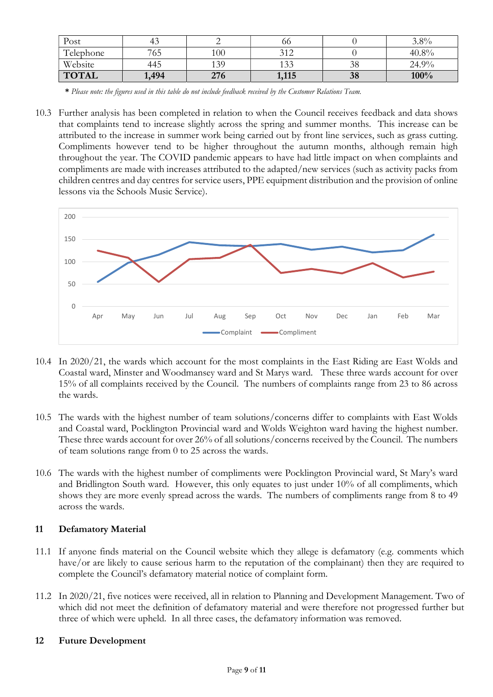| Post         |       |     | 00         |    | $3.8\%$ |
|--------------|-------|-----|------------|----|---------|
| Telephone    | 765   | 100 | 212<br>ے د |    | 40.8%   |
| Website      | 445   | 139 | 133        | 38 | 24.9%   |
| <b>TOTAL</b> | .,494 | 276 | 1,115      | 38 | 100%    |

<sup>\*</sup> Please note: the figures used in this table do not include feedback received by the Customer Relations Team.

10.3 Further analysis has been completed in relation to when the Council receives feedback and data shows that complaints tend to increase slightly across the spring and summer months. This increase can be attributed to the increase in summer work being carried out by front line services, such as grass cutting. Compliments however tend to be higher throughout the autumn months, although remain high throughout the year. The COVID pandemic appears to have had little impact on when complaints and compliments are made with increases attributed to the adapted/new services (such as activity packs from children centres and day centres for service users, PPE equipment distribution and the provision of online lessons via the Schools Music Service).



- 10.4 In 2020/21, the wards which account for the most complaints in the East Riding are East Wolds and Coastal ward, Minster and Woodmansey ward and St Marys ward. These three wards account for over 15% of all complaints received by the Council. The numbers of complaints range from 23 to 86 across the wards.
- 10.5 The wards with the highest number of team solutions/concerns differ to complaints with East Wolds and Coastal ward, Pocklington Provincial ward and Wolds Weighton ward having the highest number. These three wards account for over 26% of all solutions/concerns received by the Council. The numbers of team solutions range from 0 to 25 across the wards.
- 10.6 The wards with the highest number of compliments were Pocklington Provincial ward, St Mary's ward and Bridlington South ward. However, this only equates to just under 10% of all compliments, which shows they are more evenly spread across the wards. The numbers of compliments range from 8 to 49 across the wards.

# 11 Defamatory Material

- 11.1 If anyone finds material on the Council website which they allege is defamatory (e.g. comments which have/or are likely to cause serious harm to the reputation of the complainant) then they are required to complete the Council's defamatory material notice of complaint form.
- 11.2 In 2020/21, five notices were received, all in relation to Planning and Development Management. Two of which did not meet the definition of defamatory material and were therefore not progressed further but three of which were upheld. In all three cases, the defamatory information was removed.

# 12 Future Development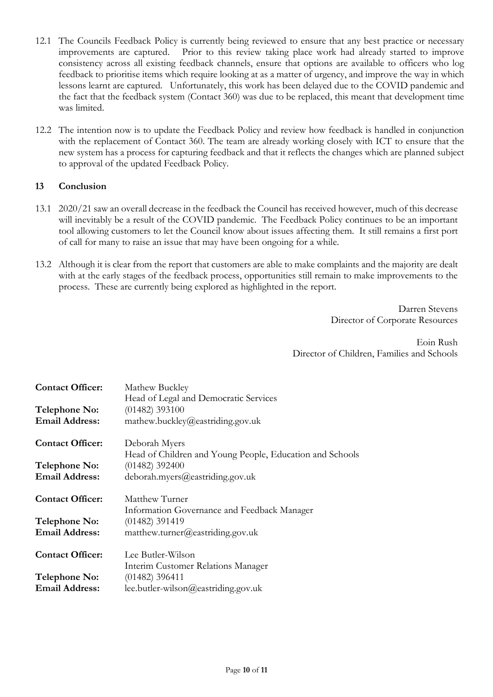- 12.1 The Councils Feedback Policy is currently being reviewed to ensure that any best practice or necessary improvements are captured. Prior to this review taking place work had already started to improve consistency across all existing feedback channels, ensure that options are available to officers who log feedback to prioritise items which require looking at as a matter of urgency, and improve the way in which lessons learnt are captured. Unfortunately, this work has been delayed due to the COVID pandemic and the fact that the feedback system (Contact 360) was due to be replaced, this meant that development time was limited.
- 12.2 The intention now is to update the Feedback Policy and review how feedback is handled in conjunction with the replacement of Contact 360. The team are already working closely with ICT to ensure that the new system has a process for capturing feedback and that it reflects the changes which are planned subject to approval of the updated Feedback Policy.

# 13 Conclusion

- 13.1 2020/21 saw an overall decrease in the feedback the Council has received however, much of this decrease will inevitably be a result of the COVID pandemic. The Feedback Policy continues to be an important tool allowing customers to let the Council know about issues affecting them. It still remains a first port of call for many to raise an issue that may have been ongoing for a while.
- 13.2 Although it is clear from the report that customers are able to make complaints and the majority are dealt with at the early stages of the feedback process, opportunities still remain to make improvements to the process. These are currently being explored as highlighted in the report.

Darren Stevens Director of Corporate Resources

Eoin Rush Director of Children, Families and Schools

| <b>Contact Officer:</b> | Mathew Buckley<br>Head of Legal and Democratic Services  |
|-------------------------|----------------------------------------------------------|
| Telephone No:           | $(01482)$ 393100                                         |
| <b>Email Address:</b>   | mathew.buckley@eastriding.gov.uk                         |
| <b>Contact Officer:</b> | Deborah Myers                                            |
|                         | Head of Children and Young People, Education and Schools |
| Telephone No:           | $(01482)$ 392400                                         |
| <b>Email Address:</b>   | deborah.myers@eastriding.gov.uk                          |
| <b>Contact Officer:</b> | Matthew Turner                                           |
|                         | Information Governance and Feedback Manager              |
| Telephone No:           | $(01482)$ 391419                                         |
| <b>Email Address:</b>   | matthew.turner@eastriding.gov.uk                         |
| <b>Contact Officer:</b> | Lee Butler-Wilson                                        |
|                         | Interim Customer Relations Manager                       |
| Telephone No:           | $(01482)$ 396411                                         |
| <b>Email Address:</b>   | lee.butler-wilson@eastriding.gov.uk                      |